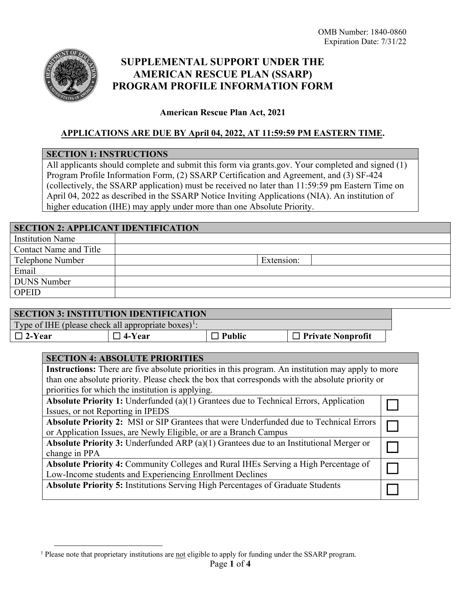

# **SUPPLEMENTAL SUPPORT UNDER THE AMERICAN RESCUE PLAN (SSARP) PROGRAM PROFILE INFORMATION FORM**

**American Rescue Plan Act, 2021** 

### **APPLICATIONS ARE DUE BY April 04, 2022, AT 11:59:59 PM EASTERN TIME.**

#### **SECTION 1: INSTRUCTIONS**

All applicants should complete and submit this form via grants.gov. Your completed and signed (1) Program Profile Information Form, (2) SSARP Certification and Agreement, and (3) SF-424 (collectively, the SSARP application) must be received no later than 11:59:59 pm Eastern Time on April 04, 2022 as described in the SSARP Notice Inviting Applications (NIA). An institution of higher education (IHE) may apply under more than one Absolute Priority.

#### **SECTION 2: APPLICANT IDENTIFICATION**

Institution Name Contact Name and Title Telephone Number Extension: Email DUNS Number OPEID

|                                                                                                           | <b>SECTION 3: INSTITUTION IDENTIFICATION</b>                                          |               |                          |  |
|-----------------------------------------------------------------------------------------------------------|---------------------------------------------------------------------------------------|---------------|--------------------------|--|
|                                                                                                           | Type of IHE (please check all appropriate boxes) <sup>1</sup> :                       |               |                          |  |
| $\square$ 2-Year                                                                                          | $\Box$ 4-Year                                                                         | $\Box$ Public | $\Box$ Private Nonprofit |  |
|                                                                                                           |                                                                                       |               |                          |  |
|                                                                                                           | <b>SECTION 4: ABSOLUTE PRIORITIES</b>                                                 |               |                          |  |
| <b>Instructions:</b> There are five absolute priorities in this program. An institution may apply to more |                                                                                       |               |                          |  |
| than one absolute priority. Please check the box that corresponds with the absolute priority or           |                                                                                       |               |                          |  |
| priorities for which the institution is applying.                                                         |                                                                                       |               |                          |  |
|                                                                                                           | Absolute Priority 1: Underfunded (a)(1) Grantees due to Technical Errors, Application |               |                          |  |
| Issues, or not Reporting in IPEDS                                                                         |                                                                                       |               |                          |  |
| <b>Absolute Priority 2:</b> MSI or SIP Grantees that were Underfunded due to Technical Errors             |                                                                                       |               |                          |  |
| or Application Issues, are Newly Eligible, or are a Branch Campus                                         |                                                                                       |               |                          |  |
| <b>Absolute Priority 3:</b> Underfunded ARP $(a)(1)$ Grantees due to an Institutional Merger or           |                                                                                       |               |                          |  |
|                                                                                                           | change in PPA                                                                         |               |                          |  |
| Absolute Priority 4: Community Colleges and Rural IHEs Serving a High Percentage of                       |                                                                                       |               |                          |  |
| Low-Income students and Experiencing Enrollment Declines                                                  |                                                                                       |               |                          |  |
| Absolute Priority 5: Institutions Serving High Percentages of Graduate Students                           |                                                                                       |               |                          |  |
|                                                                                                           |                                                                                       |               |                          |  |

<span id="page-0-0"></span><sup>&</sup>lt;sup>1</sup> Please note that proprietary institutions are not eligible to apply for funding under the SSARP program.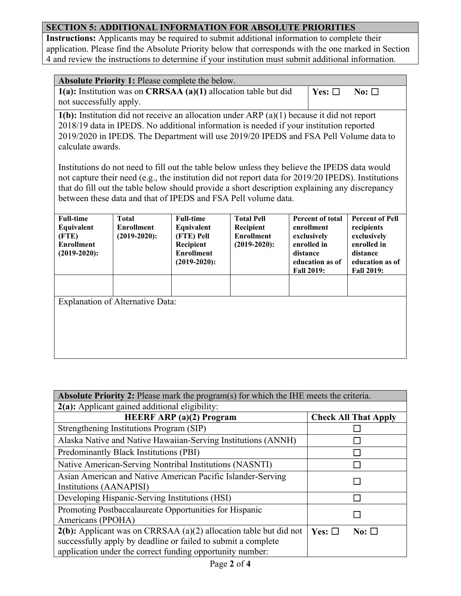## **SECTION 5: ADDITIONAL INFORMATION FOR ABSOLUTE PRIORITIES**

**Instructions:** Applicants may be required to submit additional information to complete their application. Please find the Absolute Priority below that corresponds with the one marked in Section 4 and review the instructions to determine if your institution must submit additional information.

| Absolute Priority 1: Please complete the below.                 |                                  |           |  |
|-----------------------------------------------------------------|----------------------------------|-----------|--|
| 1(a): Institution was on CRRSAA (a)(1) allocation table but did | $\mathbf{Y}$ es: $\mathbf{\Box}$ | $\bf No:$ |  |
| not successfully apply.                                         |                                  |           |  |

**1(b):** Institution did not receive an allocation under ARP (a)(1) because it did not report 2018/19 data in IPEDS. No additional information is needed if your institution reported 2019/2020 in IPEDS. The Department will use 2019/20 IPEDS and FSA Pell Volume data to calculate awards.

Institutions do not need to fill out the table below unless they believe the IPEDS data would not capture their need (e.g., the institution did not report data for 2019/20 IPEDS). Institutions that do fill out the table below should provide a short description explaining any discrepancy between these data and that of IPEDS and FSA Pell volume data.

| <b>Full-time</b><br>Equivalent<br>(FTE)<br><b>Enrollment</b><br>$(2019-2020)$ : | <b>Total</b><br><b>Enrollment</b><br>$(2019-2020)$ : | <b>Full-time</b><br>Equivalent<br>(FTE) Pell<br>Recipient<br><b>Enrollment</b><br>$(2019-2020)$ : | <b>Total Pell</b><br>Recipient<br><b>Enrollment</b><br>$(2019-2020)$ : | <b>Percent of total</b><br>enrollment<br>exclusively<br>enrolled in<br>distance<br>education as of<br><b>Fall 2019:</b> | <b>Percent of Pell</b><br>recipients<br>exclusively<br>enrolled in<br>distance<br>education as of<br><b>Fall 2019:</b> |
|---------------------------------------------------------------------------------|------------------------------------------------------|---------------------------------------------------------------------------------------------------|------------------------------------------------------------------------|-------------------------------------------------------------------------------------------------------------------------|------------------------------------------------------------------------------------------------------------------------|
|                                                                                 |                                                      |                                                                                                   |                                                                        |                                                                                                                         |                                                                                                                        |
|                                                                                 | <b>Explanation of Alternative Data:</b>              |                                                                                                   |                                                                        |                                                                                                                         |                                                                                                                        |

| <b>Absolute Priority 2:</b> Please mark the program(s) for which the IHE meets the criteria.                                                                                                       |                                 |  |  |  |
|----------------------------------------------------------------------------------------------------------------------------------------------------------------------------------------------------|---------------------------------|--|--|--|
| 2(a): Applicant gained additional eligibility:                                                                                                                                                     |                                 |  |  |  |
| <b>HEERF ARP</b> (a)(2) Program                                                                                                                                                                    | <b>Check All That Apply</b>     |  |  |  |
| Strengthening Institutions Program (SIP)                                                                                                                                                           |                                 |  |  |  |
| Alaska Native and Native Hawaiian-Serving Institutions (ANNH)                                                                                                                                      |                                 |  |  |  |
| Predominantly Black Institutions (PBI)                                                                                                                                                             |                                 |  |  |  |
| Native American-Serving Nontribal Institutions (NASNTI)                                                                                                                                            |                                 |  |  |  |
| Asian American and Native American Pacific Islander-Serving<br>Institutions (AANAPISI)                                                                                                             |                                 |  |  |  |
| Developing Hispanic-Serving Institutions (HSI)                                                                                                                                                     |                                 |  |  |  |
| Promoting Postbaccalaureate Opportunities for Hispanic<br>Americans (PPOHA)                                                                                                                        |                                 |  |  |  |
| $2(b)$ : Applicant was on CRRSAA (a)(2) allocation table but did not<br>successfully apply by deadline or failed to submit a complete<br>application under the correct funding opportunity number: | Yes: $\square$<br>No: $\square$ |  |  |  |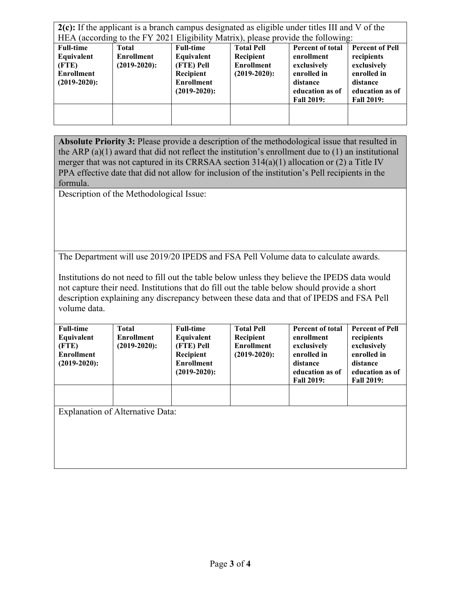**2(c):** If the applicant is a branch campus designated as eligible under titles III and V of the HEA (according to the FY 2021 Eligibility Matrix), please provide the following: **Full-time Equivalent (FTE) Enrollment (2019-2020): Total Enrollment (2019-2020): Full-time Equivalent (FTE) Pell Recipient Enrollment (2019-2020): Total Pell Recipient Enrollment (2019-2020): Percent of total enrollment exclusively enrolled in distance education as of Fall 2019: Percent of Pell recipients exclusively enrolled in distance education as of Fall 2019:**

**Absolute Priority 3:** Please provide a description of the methodological issue that resulted in the ARP (a)(1) award that did not reflect the institution's enrollment due to (1) an institutional merger that was not captured in its CRRSAA section 314(a)(1) allocation or (2) a Title IV PPA effective date that did not allow for inclusion of the institution's Pell recipients in the formula.

Description of the Methodological Issue:

The Department will use 2019/20 IPEDS and FSA Pell Volume data to calculate awards.

Institutions do not need to fill out the table below unless they believe the IPEDS data would not capture their need. Institutions that do fill out the table below should provide a short description explaining any discrepancy between these data and that of IPEDS and FSA Pell volume data.

| <b>Full-time</b>  | <b>Total</b>    | <b>Full-time</b>  | <b>Total Pell</b> | <b>Percent of total</b> | <b>Percent of Pell</b> |
|-------------------|-----------------|-------------------|-------------------|-------------------------|------------------------|
| Equivalent        | Enrollment      | Equivalent        | Recipient         | enrollment              | recipients             |
| (FTE)             | $(2019-2020)$ : | (FTE) Pell        | <b>Enrollment</b> | exclusively             | exclusively            |
| <b>Enrollment</b> |                 | Recipient         | $(2019-2020)$ :   | enrolled in             | enrolled in            |
| $(2019 - 2020)$ : |                 | <b>Enrollment</b> |                   | distance                | distance               |
|                   |                 | $(2019 - 2020)$ : |                   | education as of         | education as of        |
|                   |                 |                   |                   | <b>Fall 2019:</b>       | <b>Fall 2019:</b>      |
|                   |                 |                   |                   |                         |                        |
|                   |                 |                   |                   |                         |                        |
|                   |                 |                   |                   |                         |                        |

Explanation of Alternative Data: